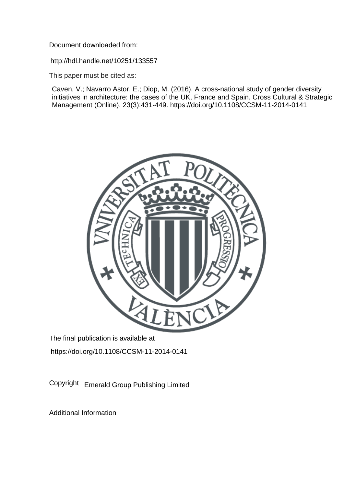Document downloaded from:

http://hdl.handle.net/10251/133557

This paper must be cited as:

Caven, V.; Navarro Astor, E.; Diop, M. (2016). A cross-national study of gender diversity initiatives in architecture: the cases of the UK, France and Spain. Cross Cultural & Strategic Management (Online). 23(3):431-449. https://doi.org/10.1108/CCSM-11-2014-0141



The final publication is available at https://doi.org/10.1108/CCSM-11-2014-0141

Copyright Emerald Group Publishing Limited

Additional Information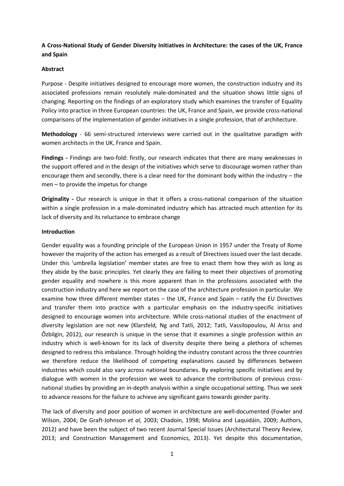**A Cross-National Study of Gender Diversity Initiatives in Architecture: the cases of the UK, France and Spain**

## **Abstract**

Purpose - Despite initiatives designed to encourage more women, the construction industry and its associated professions remain resolutely male-dominated and the situation shows little signs of changing. Reporting on the findings of an exploratory study which examines the transfer of Equality Policy into practice in three European countries: the UK, France and Spain, we provide cross-national comparisons of the implementation of gender initiatives in a single profession, that of architecture.

**Methodology** - 66 semi-structured interviews were carried out in the qualitative paradigm with women architects in the UK, France and Spain.

**Findings -** Findings are two-fold: firstly, our research indicates that there are many weaknesses in the support offered and in the design of the initiatives which serve to discourage women rather than encourage them and secondly, there is a clear need for the dominant body within the industry – the men – to provide the impetus for change

**Originality -** Our research is unique in that it offers a cross-national comparison of the situation within a single profession in a male-dominated industry which has attracted much attention for its lack of diversity and its reluctance to embrace change

## **Introduction**

Gender equality was a founding principle of the European Union in 1957 under the Treaty of Rome however the majority of the action has emerged as a result of Directives issued over the last decade. Under this 'umbrella legislation' member states are free to enact them how they wish as long as they abide by the basic principles. Yet clearly they are failing to meet their objectives of promoting gender equality and nowhere is this more apparent than in the professions associated with the construction industry and here we report on the case of the architecture profession in particular. We examine how three different member states – the UK, France and Spain – ratify the EU Directives and transfer them into practice with a particular emphasis on the industry-specific initiatives designed to encourage women into architecture. While cross-national studies of the enactment of diversity legislation are not new (Klarsfeld*,* Ng and Tatli, 2012; Tatli, Vassilopoulou, Al Ariss and Őzbilgin, 2012), our research is unique in the sense that it examines a single profession within an industry which is well-known for its lack of diversity despite there being a plethora of schemes designed to redress this imbalance. Through holding the industry constant across the three countries we therefore reduce the likelihood of competing explanations caused by differences between industries which could also vary across national boundaries. By exploring specific initiatives and by dialogue with women in the profession we week to advance the contributions of previous crossnational studies by providing an in-depth analysis within a single occupational setting. Thus we seek to advance reasons for the failure to achieve any significant gains towards gender parity.

The lack of diversity and poor position of women in architecture are well-documented (Fowler and Wilson, 2004; De Graft-Johnson *et al,* 2003; Chadoin, 1998; Molina and Laquidáin, 2009; Authors, 2012) and have been the subject of two recent Journal Special Issues (Architectural Theory Review, 2013; and Construction Management and Economics, 2013). Yet despite this documentation,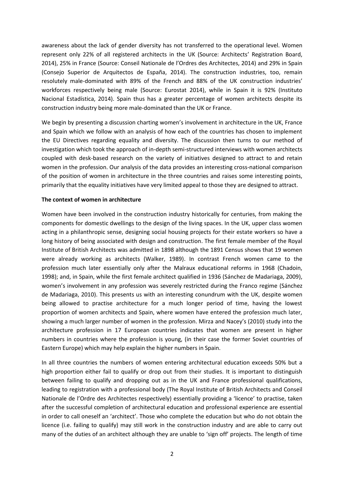awareness about the lack of gender diversity has not transferred to the operational level. Women represent only 22% of all registered architects in the UK (Source: Architects' Registration Board, 2014), 25% in France (Source: Conseil Nationale de l'Ordres des Architectes, 2014) and 29% in Spain (Consejo Superior de Arquitectos de España, 2014). The construction industries, too, remain resolutely male-dominated with 89% of the French and 88% of the UK construction industries' workforces respectively being male (Source: Eurostat 2014), while in Spain it is 92% (Instituto Nacional Estadística, 2014). Spain thus has a greater percentage of women architects despite its construction industry being more male-dominated than the UK or France.

We begin by presenting a discussion charting women's involvement in architecture in the UK, France and Spain which we follow with an analysis of how each of the countries has chosen to implement the EU Directives regarding equality and diversity. The discussion then turns to our method of investigation which took the approach of in-depth semi-structured interviews with women architects coupled with desk-based research on the variety of initiatives designed to attract to and retain women in the profession. Our analysis of the data provides an interesting cross-national comparison of the position of women in architecture in the three countries and raises some interesting points, primarily that the equality initiatives have very limited appeal to those they are designed to attract.

## **The context of women in architecture**

Women have been involved in the construction industry historically for centuries, from making the components for domestic dwellings to the design of the living spaces. In the UK, upper class women acting in a philanthropic sense, designing social housing projects for their estate workers so have a long history of being associated with design and construction. The first female member of the Royal Institute of British Architects was admitted in 1898 although the 1891 Census shows that 19 women were already working as architects (Walker, 1989). In contrast French women came to the profession much later essentially only after the Malraux educational reforms in 1968 (Chadoin, 1998); and, in Spain, while the first female architect qualified in 1936 (Sánchez de Madariaga, 2009), women's involvement in any profession was severely restricted during the Franco regime (Sánchez de Madariaga, 2010). This presents us with an interesting conundrum with the UK, despite women being allowed to practise architecture for a much longer period of time, having the lowest proportion of women architects and Spain, where women have entered the profession much later, showing a much larger number of women in the profession. Mirza and Nacey's (2010) study into the architecture profession in 17 European countries indicates that women are present in higher numbers in countries where the profession is young, (in their case the former Soviet countries of Eastern Europe) which may help explain the higher numbers in Spain.

In all three countries the numbers of women entering architectural education exceeds 50% but a high proportion either fail to qualify or drop out from their studies. It is important to distinguish between failing to qualify and dropping out as in the UK and France professional qualifications, leading to registration with a professional body (The Royal Institute of British Architects and Conseil Nationale de l'Ordre des Architectes respectively) essentially providing a 'licence' to practise, taken after the successful completion of architectural education and professional experience are essential in order to call oneself an 'architect'. Those who complete the education but who do not obtain the licence (i.e. failing to qualify) may still work in the construction industry and are able to carry out many of the duties of an architect although they are unable to 'sign off' projects. The length of time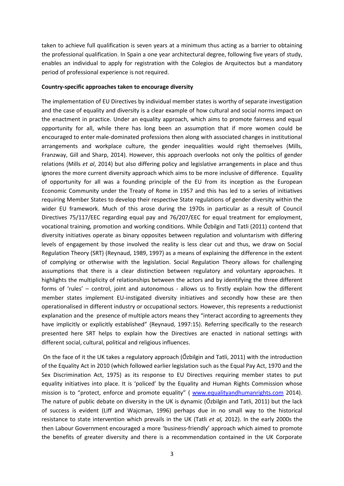taken to achieve full qualification is seven years at a minimum thus acting as a barrier to obtaining the professional qualification. In Spain a one year architectural degree, following five years of study, enables an individual to apply for registration with the Colegios de Arquitectos but a mandatory period of professional experience is not required.

## **Country-specific approaches taken to encourage diversity**

The implementation of EU Directives by individual member states is worthy of separate investigation and the case of equality and diversity is a clear example of how cultural and social norms impact on the enactment in practice. Under an equality approach, which aims to promote fairness and equal opportunity for all, while there has long been an assumption that if more women could be encouraged to enter male-dominated professions then along with associated changes in institutional arrangements and workplace culture, the gender inequalities would right themselves (Mills, Franzway, Gill and Sharp, 2014). However, this approach overlooks not only the politics of gender relations (Mills *et al*, 2014) but also differing policy and legislative arrangements in place and thus ignores the more current diversity approach which aims to be more inclusive of difference. Equality of opportunity for all was a founding principle of the EU from its inception as the European Economic Community under the Treaty of Rome in 1957 and this has led to a series of initiatives requiring Member States to develop their respective State regulations of gender diversity within the wider EU framework. Much of this arose during the 1970s in particular as a result of Council Directives 75/117/EEC regarding equal pay and 76/207/EEC for equal treatment for employment, vocational training, promotion and working conditions. While Őzbilgin and Tatli (2011) contend that diversity initiatives operate as binary opposites between regulation and voluntarism with differing levels of engagement by those involved the reality is less clear cut and thus, we draw on Social Regulation Theory (SRT) (Reynaud, 1989, 1997) as a means of explaining the difference in the extent of complying or otherwise with the legislation. Social Regulation Theory allows for challenging assumptions that there is a clear distinction between regulatory and voluntary approaches. It highlights the multiplicity of relationships between the actors and by identifying the three different forms of 'rules' – control, joint and autonomous - allows us to firstly explain how the different member states implement EU-instigated diversity initiatives and secondly how these are then operationalised in different industry or occupational sectors. However, this represents a reductionist explanation and the presence of multiple actors means they "interact according to agreements they have implicitly or explicitly established" (Reynaud, 1997:15). Referring specifically to the research presented here SRT helps to explain how the Directives are enacted in national settings with different social, cultural, political and religious influences.

On the face of it the UK takes a regulatory approach (Őzbilgin and Tatli, 2011) with the introduction of the Equality Act in 2010 (which followed earlier legislation such as the Equal Pay Act, 1970 and the Sex Discrimination Act, 1975) as its response to EU Directives requiring member states to put equality initiatives into place. It is 'policed' by the Equality and Human Rights Commission whose mission is to "protect, enforce and promote equality" ( [www.equalityandhumanrights.com](http://www.equalityandhumanrights.com/) 2014). The nature of public debate on diversity in the UK is dynamic (Őzbilgin and Tatli, 2011) but the lack of success is evident (Liff and Wajcman, 1996) perhaps due in no small way to the historical resistance to state intervention which prevails in the UK (Tatli *et al,* 2012). In the early 2000s the then Labour Government encouraged a more 'business-friendly' approach which aimed to promote the benefits of greater diversity and there is a recommendation contained in the UK Corporate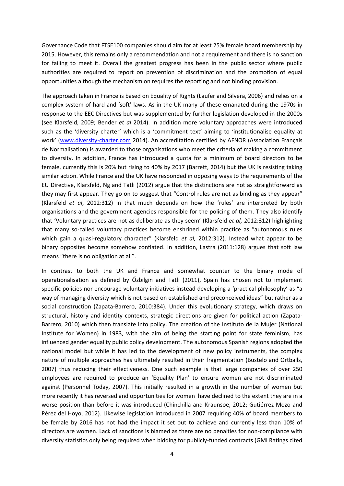Governance Code that FTSE100 companies should aim for at least 25% female board membership by 2015. However, this remains only a recommendation and not a requirement and there is no sanction for failing to meet it. Overall the greatest progress has been in the public sector where public authorities are required to report on prevention of discrimination and the promotion of equal opportunities although the mechanism on requires the reporting and not binding provision.

The approach taken in France is based on Equality of Rights (Laufer and Silvera, 2006) and relies on a complex system of hard and 'soft' laws. As in the UK many of these emanated during the 1970s in response to the EEC Directives but was supplemented by further legislation developed in the 2000s (see Klarsfeld, 2009; Bender *et al* 2014). In addition more voluntary approaches were introduced such as the 'diversity charter' which is a 'commitment text' aiming to 'institutionalise equality at work' [\(www.diversity-charter.com](http://www.diversity-charter.com/) 2014). An accreditation certified by AFNOR (Association Français de Normalisation) is awarded to those organisations who meet the criteria of making a commitment to diversity. In addition, France has introduced a quota for a minimum of board directors to be female, currently this is 20% but rising to 40% by 2017 (Barrett, 2014) but the UK is resisting taking similar action. While France and the UK have responded in opposing ways to the requirements of the EU Directive, Klarsfeld, Ng and Tatli (2012) argue that the distinctions are not as straightforward as they may first appear. They go on to suggest that "Control rules are not as binding as they appear" (Klarsfeld *et al*, 2012:312) in that much depends on how the 'rules' are interpreted by both organisations and the government agencies responsible for the policing of them. They also identify that 'Voluntary practices are not as deliberate as they seem' (Klarsfeld *et al,* 2012:312) highlighting that many so-called voluntary practices become enshrined within practice as "autonomous rules which gain a quasi-regulatory character" (Klarsfeld *et al,* 2012:312). Instead what appear to be binary opposites become somehow conflated. In addition, Lastra (2011:128) argues that soft law means "there is no obligation at all".

In contrast to both the UK and France and somewhat counter to the binary mode of operationalisation as defined by Őzbilgin and Tatli (2011), Spain has chosen not to implement specific policies nor encourage voluntary initiatives instead developing a 'practical philosophy' as "a way of managing diversity which is not based on established and preconceived ideas" but rather as a social construction (Zapata-Barrero, 2010:384). Under this evolutionary strategy, which draws on structural, history and identity contexts, strategic directions are given for political action (Zapata-Barrero, 2010) which then translate into policy. The creation of the Instituto de la Mujer (National Institute for Women) in 1983, with the aim of being the starting point for state feminism, has influenced gender equality public policy development. The autonomous Spanish regions adopted the national model but while it has led to the development of new policy instruments, the complex nature of multiple approaches has ultimately resulted in their fragmentation (Bustelo and Ortballs, 2007) thus reducing their effectiveness. One such example is that large companies of over 250 employees are required to produce an 'Equality Plan' to ensure women are not discriminated against (Personnel Today, 2007). This initially resulted in a growth in the number of women but more recently it has reversed and opportunities for women have declined to the extent they are in a worse position than before it was introduced (Chinchilla and Kraunsoe, 2012; Gutiérrez Mozo and Pérez del Hoyo, 2012). Likewise legislation introduced in 2007 requiring 40% of board members to be female by 2016 has not had the impact it set out to achieve and currently less than 10% of directors are women. Lack of sanctions is blamed as there are no penalties for non-compliance with diversity statistics only being required when bidding for publicly-funded contracts (GMI Ratings cited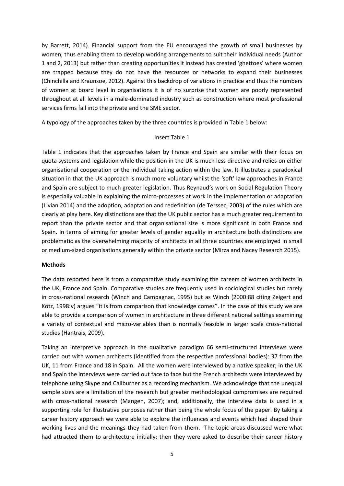by Barrett, 2014). Financial support from the EU encouraged the growth of small businesses by women, thus enabling them to develop working arrangements to suit their individual needs (Author 1 and 2, 2013) but rather than creating opportunities it instead has created 'ghettoes' where women are trapped because they do not have the resources or networks to expand their businesses (Chinchilla and Kraunsoe, 2012). Against this backdrop of variations in practice and thus the numbers of women at board level in organisations it is of no surprise that women are poorly represented throughout at all levels in a male-dominated industry such as construction where most professional services firms fall into the private and the SME sector.

A typology of the approaches taken by the three countries is provided in Table 1 below:

# Insert Table 1

Table 1 indicates that the approaches taken by France and Spain are similar with their focus on quota systems and legislation while the position in the UK is much less directive and relies on either organisational cooperation or the individual taking action within the law. It illustrates a paradoxical situation in that the UK approach is much more voluntary whilst the 'soft' law approaches in France and Spain are subject to much greater legislation. Thus Reynaud's work on Social Regulation Theory is especially valuable in explaining the micro-processes at work in the implementation or adaptation (Livian 2014) and the adoption, adaptation and redefinition (de Terssec, 2003) of the rules which are clearly at play here. Key distinctions are that the UK public sector has a much greater requirement to report than the private sector and that organisational size is more significant in both France and Spain. In terms of aiming for greater levels of gender equality in architecture both distinctions are problematic as the overwhelming majority of architects in all three countries are employed in small or medium-sized organisations generally within the private sector (Mirza and Nacey Research 2015).

# **Methods**

The data reported here is from a comparative study examining the careers of women architects in the UK, France and Spain. Comparative studies are frequently used in sociological studies but rarely in cross-national research (Winch and Campagnac, 1995) but as Winch (2000:88 citing Zeigert and Kötz, 1998:v) argues "it is from comparison that knowledge comes". In the case of this study we are able to provide a comparison of women in architecture in three different national settings examining a variety of contextual and micro-variables than is normally feasible in larger scale cross-national studies (Hantrais, 2009).

Taking an interpretive approach in the qualitative paradigm 66 semi-structured interviews were carried out with women architects (identified from the respective professional bodies): 37 from the UK, 11 from France and 18 in Spain. All the women were interviewed by a native speaker; in the UK and Spain the interviews were carried out face to face but the French architects were interviewed by telephone using Skype and Callburner as a recording mechanism. We acknowledge that the unequal sample sizes are a limitation of the research but greater methodological compromises are required with cross-national research (Mangen, 2007); and, additionally, the interview data is used in a supporting role for illustrative purposes rather than being the whole focus of the paper. By taking a career history approach we were able to explore the influences and events which had shaped their working lives and the meanings they had taken from them. The topic areas discussed were what had attracted them to architecture initially; then they were asked to describe their career history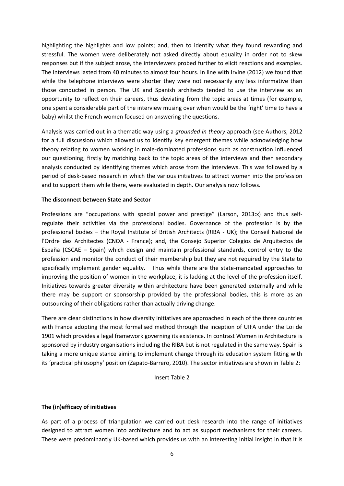highlighting the highlights and low points; and, then to identify what they found rewarding and stressful. The women were deliberately not asked directly about equality in order not to skew responses but if the subject arose, the interviewers probed further to elicit reactions and examples. The interviews lasted from 40 minutes to almost four hours. In line with Irvine (2012) we found that while the telephone interviews were shorter they were not necessarily any less informative than those conducted in person. The UK and Spanish architects tended to use the interview as an opportunity to reflect on their careers, thus deviating from the topic areas at times (for example, one spent a considerable part of the interview musing over when would be the 'right' time to have a baby) whilst the French women focused on answering the questions.

Analysis was carried out in a thematic way using a *grounded in theory* approach (see Authors, 2012 for a full discussion) which allowed us to identify key emergent themes while acknowledging how theory relating to women working in male-dominated professions such as construction influenced our questioning; firstly by matching back to the topic areas of the interviews and then secondary analysis conducted by identifying themes which arose from the interviews. This was followed by a period of desk-based research in which the various initiatives to attract women into the profession and to support them while there, were evaluated in depth. Our analysis now follows.

# **The disconnect between State and Sector**

Professions are "occupations with special power and prestige" (Larson, 2013:x) and thus selfregulate their activities via the professional bodies. Governance of the profession is by the professional bodies – the Royal Institute of British Architects (RIBA - UK); the Conseil National de l'Ordre des Architectes (CNOA - France); and, the Consejo Superior Colegios de Arquitectos de España (CSCAE – Spain) which design and maintain professional standards, control entry to the profession and monitor the conduct of their membership but they are not required by the State to specifically implement gender equality. Thus while there are the state-mandated approaches to improving the position of women in the workplace, it is lacking at the level of the profession itself. Initiatives towards greater diversity within architecture have been generated externally and while there may be support or sponsorship provided by the professional bodies, this is more as an outsourcing of their obligations rather than actually driving change.

There are clear distinctions in how diversity initiatives are approached in each of the three countries with France adopting the most formalised method through the inception of UIFA under the Loi de 1901 which provides a legal framework governing its existence. In contrast Women in Architecture is sponsored by industry organisations including the RIBA but is not regulated in the same way. Spain is taking a more unique stance aiming to implement change through its education system fitting with its 'practical philosophy' position (Zapato-Barrero, 2010). The sector initiatives are shown in Table 2:

# Insert Table 2

# **The (in)efficacy of initiatives**

As part of a process of triangulation we carried out desk research into the range of initiatives designed to attract women into architecture and to act as support mechanisms for their careers. These were predominantly UK-based which provides us with an interesting initial insight in that it is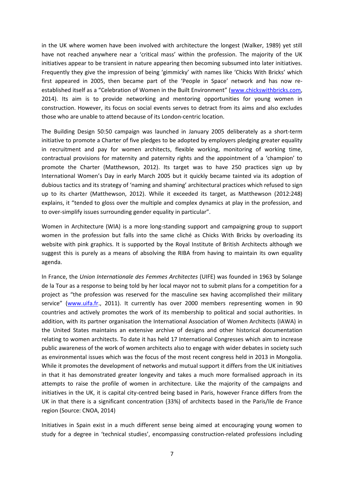in the UK where women have been involved with architecture the longest (Walker, 1989) yet still have not reached anywhere near a 'critical mass' within the profession. The majority of the UK initiatives appear to be transient in nature appearing then becoming subsumed into later initiatives. Frequently they give the impression of being 'gimmicky' with names like 'Chicks With Bricks' which first appeared in 2005, then became part of the 'People in Space' network and has now reestablished itself as a "Celebration of Women in the Built Environment" [\(www.chickswithbricks.com,](http://www.chickswithbricks.com/) 2014). Its aim is to provide networking and mentoring opportunities for young women in construction. However, its focus on social events serves to detract from its aims and also excludes those who are unable to attend because of its London-centric location.

The Building Design 50:50 campaign was launched in January 2005 deliberately as a short-term initiative to promote a Charter of five pledges to be adopted by employers pledging greater equality in recruitment and pay for women architects, flexible working, monitoring of working time, contractual provisions for maternity and paternity rights and the appointment of a 'champion' to promote the Charter (Matthewson, 2012). Its target was to have 250 practices sign up by International Women's Day in early March 2005 but it quickly became tainted via its adoption of dubious tactics and its strategy of 'naming and shaming' architectural practices which refused to sign up to its charter (Matthewson, 2012). While it exceeded its target, as Matthewson (2012:248) explains, it "tended to gloss over the multiple and complex dynamics at play in the profession, and to over-simplify issues surrounding gender equality in particular".

Women in Architecture (WIA) is a more long-standing support and campaigning group to support women in the profession but falls into the same cliché as Chicks With Bricks by overloading its website with pink graphics. It is supported by the Royal Institute of British Architects although we suggest this is purely as a means of absolving the RIBA from having to maintain its own equality agenda.

In France, the *Union Internationale des Femmes Architectes* (UIFE) was founded in 1963 by Solange de la Tour as a response to being told by her local mayor not to submit plans for a competition for a project as "the profession was reserved for the masculine sex having accomplished their military service" [\(www.uifa.fr.](http://www.uifa.fr/), 2011). It currently has over 2000 members representing women in 90 countries and actively promotes the work of its membership to political and social authorities. In addition, with its partner organisation the International Association of Women Architects (IAWA) in the United States maintains an extensive archive of designs and other historical documentation relating to women architects. To date it has held 17 International Congresses which aim to increase public awareness of the work of women architects also to engage with wider debates in society such as environmental issues which was the focus of the most recent congress held in 2013 in Mongolia. While it promotes the development of networks and mutual support it differs from the UK initiatives in that it has demonstrated greater longevity and takes a much more formalised approach in its attempts to raise the profile of women in architecture. Like the majority of the campaigns and initiatives in the UK, it is capital city-centred being based in Paris, however France differs from the UK in that there is a significant concentration (33%) of architects based in the Paris/Ile de France region (Source: CNOA, 2014)

Initiatives in Spain exist in a much different sense being aimed at encouraging young women to study for a degree in 'technical studies', encompassing construction-related professions including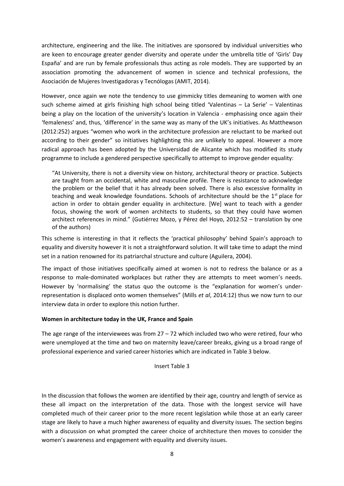architecture, engineering and the like. The initiatives are sponsored by individual universities who are keen to encourage greater gender diversity and operate under the umbrella title of 'Girls' Day España' and are run by female professionals thus acting as role models. They are supported by an association promoting the advancement of women in science and technical professions, the Asociación de Mujeres Investigadoras y Tecnólogas (AMIT, 2014).

However, once again we note the tendency to use gimmicky titles demeaning to women with one such scheme aimed at girls finishing high school being titled 'Valentinas – La Serie' – Valentinas being a play on the location of the university's location in Valencia - emphasising once again their 'femaleness' and, thus, 'difference' in the same way as many of the UK's initiatives. As Matthewson (2012:252) argues "women who work in the architecture profession are reluctant to be marked out according to their gender" so initiatives highlighting this are unlikely to appeal. However a more radical approach has been adopted by the Universidad de Alicante which has modified its study programme to include a gendered perspective specifically to attempt to improve gender equality:

"At University, there is not a diversity view on history, architectural theory or practice. Subjects are taught from an occidental, white and masculine profile. There is resistance to acknowledge the problem or the belief that it has already been solved. There is also excessive formality in teaching and weak knowledge foundations. Schools of architecture should be the  $1<sup>st</sup>$  place for action in order to obtain gender equality in architecture. [We] want to teach with a gender focus, showing the work of women architects to students, so that they could have women architect references in mind." (Gutiérrez Mozo, y Pérez del Hoyo, 2012:52 – translation by one of the authors)

This scheme is interesting in that it reflects the 'practical philosophy' behind Spain's approach to equality and diversity however it is not a straightforward solution. It will take time to adapt the mind set in a nation renowned for its patriarchal structure and culture (Aguilera, 2004).

The impact of those initiatives specifically aimed at women is not to redress the balance or as a response to male-dominated workplaces but rather they are attempts to meet women's needs. However by 'normalising' the status quo the outcome is the "explanation for women's underrepresentation is displaced onto women themselves" (Mills *et al*, 2014:12) thus we now turn to our interview data in order to explore this notion further.

# **Women in architecture today in the UK, France and Spain**

The age range of the interviewees was from  $27 - 72$  which included two who were retired, four who were unemployed at the time and two on maternity leave/career breaks, giving us a broad range of professional experience and varied career histories which are indicated in Table 3 below.

# Insert Table 3

In the discussion that follows the women are identified by their age, country and length of service as these all impact on the interpretation of the data. Those with the longest service will have completed much of their career prior to the more recent legislation while those at an early career stage are likely to have a much higher awareness of equality and diversity issues. The section begins with a discussion on what prompted the career choice of architecture then moves to consider the women's awareness and engagement with equality and diversity issues.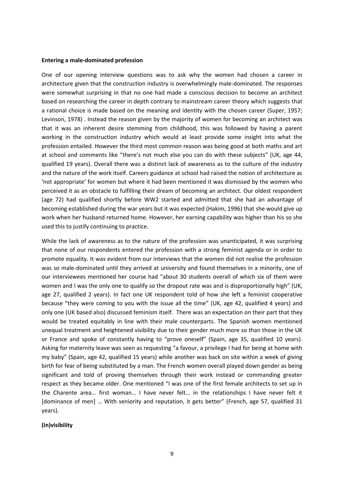#### **Entering a male-dominated profession**

One of our opening interview questions was to ask why the women had chosen a career in architecture given that the construction industry is overwhelmingly male-dominated. The responses were somewhat surprising in that no one had made a conscious decision to become an architect based on researching the career in depth contrary to mainstream career theory which suggests that a rational choice is made based on the meaning and identity with the chosen career (Super, 1957; Levinson, 1978) . Instead the reason given by the majority of women for becoming an architect was that it was an inherent desire stemming from childhood, this was followed by having a parent working in the construction industry which would at least provide some insight into what the profession entailed. However the third most common reason was being good at both maths and art at school and comments like "there's not much else you can do with these subjects" (UK, age 44, qualified 19 years). Overall there was a distinct lack of awareness as to the culture of the industry and the nature of the work itself. Careers guidance at school had raised the notion of architecture as 'not appropriate' for women but where it had been mentioned it was dismissed by the women who perceived it as an obstacle to fulfilling their dream of becoming an architect. Our oldest respondent (age 72) had qualified shortly before WW2 started and admitted that she had an advantage of becoming established during the war years but it was expected (Hakim, 1996) that she would give up work when her husband returned home. However, her earning capability was higher than his so she used this to justify continuing to practice.

While the lack of awareness as to the nature of the profession was unanticipated, it was surprising that none of our respondents entered the profession with a strong feminist agenda or in order to promote equality. It was evident from our interviews that the women did not realise the profession was so male-dominated until they arrived at university and found themselves in a minority, one of our interviewees mentioned her course had "about 30 students overall of which six of them were women and I was the only one to qualify so the dropout rate was and is disproportionally high" (UK, age 27, qualified 2 years). In fact one UK respondent told of how she left a feminist cooperative because "they were coming to you with the issue all the time" (UK, age 42, qualified 4 years) and only one (UK based also) discussed feminism itself. There was an expectation on their part that they would be treated equitably in line with their male counterparts. The Spanish women mentioned unequal treatment and heightened visibility due to their gender much more so than those in the UK or France and spoke of constantly having to "prove oneself" (Spain, age 35, qualified 10 years). Asking for maternity leave was seen as requesting "a favour, a privilege I had for being at home with my baby" (Spain, age 42, qualified 15 years) while another was back on site within a week of giving birth for fear of being substituted by a man. The French women overall played down gender as being significant and told of proving themselves through their work instead or commanding greater respect as they became older. One mentioned "I was one of the first female architects to set up in the Charente area… first woman… I have never felt… in the relationships I have never felt it [dominance of men] … With seniority and reputation, it gets better" (French, age 57, qualified 31 years).

## **(In)visibility**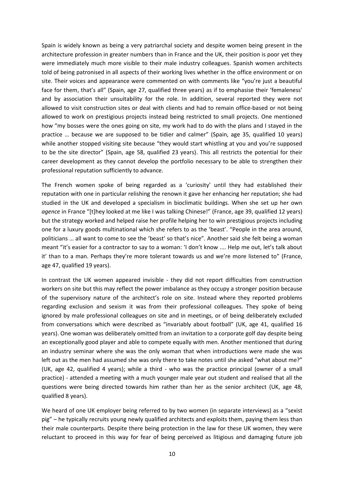Spain is widely known as being a very patriarchal society and despite women being present in the architecture profession in greater numbers than in France and the UK, their position is poor yet they were immediately much more visible to their male industry colleagues. Spanish women architects told of being patronised in all aspects of their working lives whether in the office environment or on site. Their voices and appearance were commented on with comments like "you're just a beautiful face for them, that's all" (Spain, age 27, qualified three years) as if to emphasise their 'femaleness' and by association their unsuitability for the role. In addition, several reported they were not allowed to visit construction sites or deal with clients and had to remain office-based or not being allowed to work on prestigious projects instead being restricted to small projects. One mentioned how "my bosses were the ones going on site, my work had to do with the plans and I stayed in the practice … because we are supposed to be tidier and calmer" (Spain, age 35, qualified 10 years) while another stopped visiting site because "they would start whistling at you and you're supposed to be the site director" (Spain, age 58, qualified 23 years). This all restricts the potential for their career development as they cannot develop the portfolio necessary to be able to strengthen their professional reputation sufficiently to advance.

The French women spoke of being regarded as a 'curiosity' until they had established their reputation with one in particular relishing the renown it gave her enhancing her reputation; she had studied in the UK and developed a specialism in bioclimatic buildings. When she set up her own *agence* in France "[t]hey looked at me like I was talking Chinese!" (France, age 39, qualified 12 years) but the strategy worked and helped raise her profile helping her to win prestigious projects including one for a luxury goods multinational which she refers to as the 'beast'. "People in the area around, politicians … all want to come to see the 'beast' so that's nice". Another said she felt being a woman meant "it's easier for a contractor to say to a woman: 'I don't know .... Help me out, let's talk about it' than to a man. Perhaps they're more tolerant towards us and we're more listened to" (France, age 47, qualified 19 years).

In contrast the UK women appeared invisible - they did not report difficulties from construction workers on site but this may reflect the power imbalance as they occupy a stronger position because of the supervisory nature of the architect's role on site. Instead where they reported problems regarding exclusion and sexism it was from their professional colleagues. They spoke of being ignored by male professional colleagues on site and in meetings, or of being deliberately excluded from conversations which were described as "invariably about football" (UK, age 41, qualified 16 years). One woman was deliberately omitted from an invitation to a corporate golf day despite being an exceptionally good player and able to compete equally with men. Another mentioned that during an industry seminar where she was the only woman that when introductions were made she was left out as the men had assumed she was only there to take notes until she asked "what about me?" (UK, age 42, qualified 4 years); while a third - who was the practice principal (owner of a small practice) - attended a meeting with a much younger male year out student and realised that all the questions were being directed towards him rather than her as the senior architect (UK, age 48, qualified 8 years).

We heard of one UK employer being referred to by two women (in separate interviews) as a "sexist pig" – he typically recruits young newly qualified architects and exploits them, paying them less than their male counterparts. Despite there being protection in the law for these UK women, they were reluctant to proceed in this way for fear of being perceived as litigious and damaging future job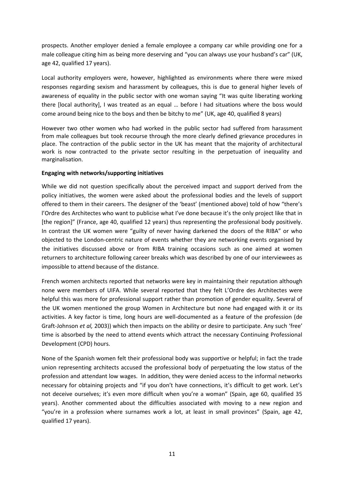prospects. Another employer denied a female employee a company car while providing one for a male colleague citing him as being more deserving and "you can always use your husband's car" (UK, age 42, qualified 17 years).

Local authority employers were, however, highlighted as environments where there were mixed responses regarding sexism and harassment by colleagues, this is due to general higher levels of awareness of equality in the public sector with one woman saying "It was quite liberating working there [local authority], I was treated as an equal … before I had situations where the boss would come around being nice to the boys and then be bitchy to me" (UK, age 40, qualified 8 years)

However two other women who had worked in the public sector had suffered from harassment from male colleagues but took recourse through the more clearly defined grievance procedures in place. The contraction of the public sector in the UK has meant that the majority of architectural work is now contracted to the private sector resulting in the perpetuation of inequality and marginalisation.

# **Engaging with networks/supporting initiatives**

While we did not question specifically about the perceived impact and support derived from the policy initiatives, the women were asked about the professional bodies and the levels of support offered to them in their careers. The designer of the 'beast' (mentioned above) told of how "there's l'Ordre des Architectes who want to publicise what I've done because it's the only project like that in [the region]" (France, age 40, qualified 12 years) thus representing the professional body positively. In contrast the UK women were "guilty of never having darkened the doors of the RIBA" or who objected to the London-centric nature of events whether they are networking events organised by the initiatives discussed above or from RIBA training occasions such as one aimed at women returners to architecture following career breaks which was described by one of our interviewees as impossible to attend because of the distance.

French women architects reported that networks were key in maintaining their reputation although none were members of UIFA. While several reported that they felt L'Ordre des Architectes were helpful this was more for professional support rather than promotion of gender equality. Several of the UK women mentioned the group Women in Architecture but none had engaged with it or its activities. A key factor is time, long hours are well-documented as a feature of the profession (de Graft-Johnson *et al,* 2003)) which then impacts on the ability or desire to participate. Any such 'free' time is absorbed by the need to attend events which attract the necessary Continuing Professional Development (CPD) hours.

None of the Spanish women felt their professional body was supportive or helpful; in fact the trade union representing architects accused the professional body of perpetuating the low status of the profession and attendant low wages. In addition, they were denied access to the informal networks necessary for obtaining projects and "if you don't have connections, it's difficult to get work. Let's not deceive ourselves; it's even more difficult when you're a woman" (Spain, age 60, qualified 35 years). Another commented about the difficulties associated with moving to a new region and "you're in a profession where surnames work a lot, at least in small provinces" (Spain, age 42, qualified 17 years).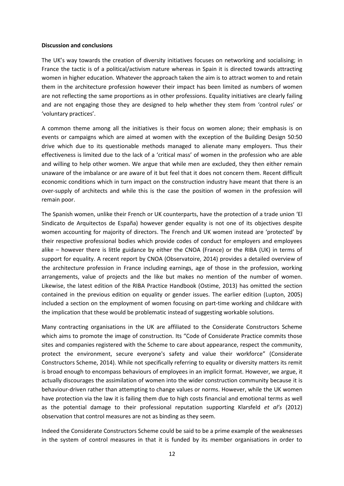## **Discussion and conclusions**

The UK's way towards the creation of diversity initiatives focuses on networking and socialising; in France the tactic is of a political/activism nature whereas in Spain it is directed towards attracting women in higher education. Whatever the approach taken the aim is to attract women to and retain them in the architecture profession however their impact has been limited as numbers of women are not reflecting the same proportions as in other professions. Equality initiatives are clearly failing and are not engaging those they are designed to help whether they stem from 'control rules' or 'voluntary practices'.

A common theme among all the initiatives is their focus on women alone; their emphasis is on events or campaigns which are aimed at women with the exception of the Building Design 50:50 drive which due to its questionable methods managed to alienate many employers. Thus their effectiveness is limited due to the lack of a 'critical mass' of women in the profession who are able and willing to help other women. We argue that while men are excluded, they then either remain unaware of the imbalance or are aware of it but feel that it does not concern them. Recent difficult economic conditions which in turn impact on the construction industry have meant that there is an over-supply of architects and while this is the case the position of women in the profession will remain poor.

The Spanish women, unlike their French or UK counterparts, have the protection of a trade union 'El Sindicato de Arquitectos de España) however gender equality is not one of its objectives despite women accounting for majority of directors. The French and UK women instead are 'protected' by their respective professional bodies which provide codes of conduct for employers and employees alike – however there is little guidance by either the CNOA (France) or the RIBA (UK) in terms of support for equality. A recent report by CNOA (Observatoire, 2014) provides a detailed overview of the architecture profession in France including earnings, age of those in the profession, working arrangements, value of projects and the like but makes no mention of the number of women. Likewise, the latest edition of the RIBA Practice Handbook (Ostime, 2013) has omitted the section contained in the previous edition on equality or gender issues. The earlier edition (Lupton, 2005) included a section on the employment of women focusing on part-time working and childcare with the implication that these would be problematic instead of suggesting workable solutions.

Many contracting organisations in the UK are affiliated to the Considerate Constructors Scheme which aims to promote the image of construction. Its "Code of Considerate Practice commits those sites and companies registered with the Scheme to care about appearance, respect the community, protect the environment, secure everyone's safety and value their workforce" (Considerate Constructors Scheme, 2014). While not specifically referring to equality or diversity matters its remit is broad enough to encompass behaviours of employees in an implicit format. However, we argue, it actually discourages the assimilation of women into the wider construction community because it is behaviour-driven rather than attempting to change values or norms. However, while the UK women have protection via the law it is failing them due to high costs financial and emotional terms as well as the potential damage to their professional reputation supporting Klarsfeld *et al's* (2012) observation that control measures are not as binding as they seem.

Indeed the Considerate Constructors Scheme could be said to be a prime example of the weaknesses in the system of control measures in that it is funded by its member organisations in order to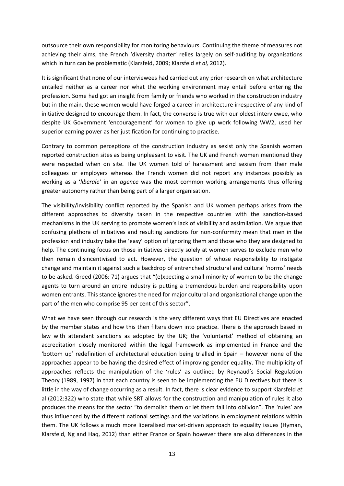outsource their own responsibility for monitoring behaviours. Continuing the theme of measures not achieving their aims, the French 'diversity charter' relies largely on self-auditing by organisations which in turn can be problematic (Klarsfeld, 2009; Klarsfeld *et al,* 2012).

It is significant that none of our interviewees had carried out any prior research on what architecture entailed neither as a career nor what the working environment may entail before entering the profession. Some had got an insight from family or friends who worked in the construction industry but in the main, these women would have forged a career in architecture irrespective of any kind of initiative designed to encourage them. In fact, the converse is true with our oldest interviewee, who despite UK Government 'encouragement' for women to give up work following WW2, used her superior earning power as her justification for continuing to practise.

Contrary to common perceptions of the construction industry as sexist only the Spanish women reported construction sites as being unpleasant to visit. The UK and French women mentioned they were respected when on site. The UK women told of harassment and sexism from their male colleagues or employers whereas the French women did not report any instances possibly as working as a '*liberale'* in an *agence* was the most common working arrangements thus offering greater autonomy rather than being part of a larger organisation.

The visibility/invisibility conflict reported by the Spanish and UK women perhaps arises from the different approaches to diversity taken in the respective countries with the sanction-based mechanisms in the UK serving to promote women's lack of visibility and assimilation. We argue that confusing plethora of initiatives and resulting sanctions for non-conformity mean that men in the profession and industry take the 'easy' option of ignoring them and those who they are designed to help. The continuing focus on those initiatives directly solely at women serves to exclude men who then remain disincentivised to act. However, the question of whose responsibility to instigate change and maintain it against such a backdrop of entrenched structural and cultural 'norms' needs to be asked. Greed (2006: 71) argues that "(e)xpecting a small minority of women to be the change agents to turn around an entire industry is putting a tremendous burden and responsibility upon women entrants. This stance ignores the need for major cultural and organisational change upon the part of the men who comprise 95 per cent of this sector".

What we have seen through our research is the very different ways that EU Directives are enacted by the member states and how this then filters down into practice. There is the approach based in law with attendant sanctions as adopted by the UK; the 'voluntarist' method of obtaining an accreditation closely monitored within the legal framework as implemented in France and the 'bottom up' redefinition of architectural education being trialled in Spain – however none of the approaches appear to be having the desired effect of improving gender equality. The multiplicity of approaches reflects the manipulation of the 'rules' as outlined by Reynaud's Social Regulation Theory (1989, 1997) in that each country is seen to be implementing the EU Directives but there is little in the way of change occurring as a result. In fact, there is clear evidence to support Klarsfeld *et*  al (2012:322) who state that while SRT allows for the construction and manipulation of rules it also produces the means for the sector "to demolish them or let them fall into oblivion". The 'rules' are thus influenced by the different national settings and the variations in employment relations within them. The UK follows a much more liberalised market-driven approach to equality issues (Hyman, Klarsfeld, Ng and Haq, 2012) than either France or Spain however there are also differences in the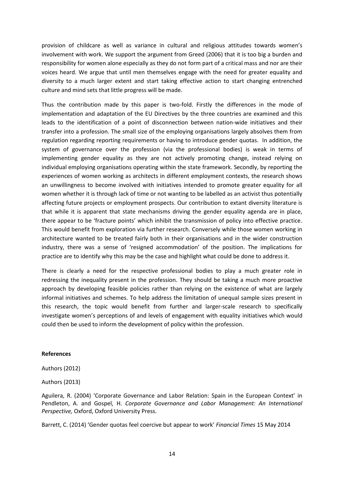provision of childcare as well as variance in cultural and religious attitudes towards women's involvement with work. We support the argument from Greed (2006) that it is too big a burden and responsibility for women alone especially as they do not form part of a critical mass and nor are their voices heard. We argue that until men themselves engage with the need for greater equality and diversity to a much larger extent and start taking effective action to start changing entrenched culture and mind sets that little progress will be made.

Thus the contribution made by this paper is two-fold. Firstly the differences in the mode of implementation and adaptation of the EU Directives by the three countries are examined and this leads to the identification of a point of disconnection between nation-wide initiatives and their transfer into a profession. The small size of the employing organisations largely absolves them from regulation regarding reporting requirements or having to introduce gender quotas. In addition, the system of governance over the profession (via the professional bodies) is weak in terms of implementing gender equality as they are not actively promoting change, instead relying on individual employing organisations operating within the state framework. Secondly, by reporting the experiences of women working as architects in different employment contexts, the research shows an unwillingness to become involved with initiatives intended to promote greater equality for all women whether it is through lack of time or not wanting to be labelled as an activist thus potentially affecting future projects or employment prospects. Our contribution to extant diversity literature is that while it is apparent that state mechanisms driving the gender equality agenda are in place, there appear to be 'fracture points' which inhibit the transmission of policy into effective practice. This would benefit from exploration via further research. Conversely while those women working in architecture wanted to be treated fairly both in their organisations and in the wider construction industry, there was a sense of 'resigned accommodation' of the position. The implications for practice are to identify why this may be the case and highlight what could be done to address it.

There is clearly a need for the respective professional bodies to play a much greater role in redressing the inequality present in the profession. They should be taking a much more proactive approach by developing feasible policies rather than relying on the existence of what are largely informal initiatives and schemes. To help address the limitation of unequal sample sizes present in this research, the topic would benefit from further and larger-scale research to specifically investigate women's perceptions of and levels of engagement with equality initiatives which would could then be used to inform the development of policy within the profession.

# **References**

Authors (2012)

Authors (2013)

Aguilera, R. (2004) 'Corporate Governance and Labor Relation: Spain in the European Context' in Pendleton, A. and Gospel, H. *Corporate Governance and Labor Management: An International Perspective,* Oxford, Oxford University Press.

Barrett, C. (2014) 'Gender quotas feel coercive but appear to work' *Financial Times* 15 May 2014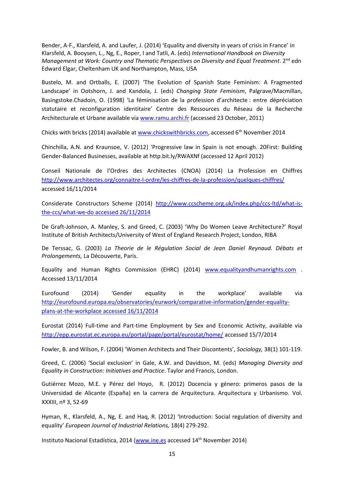Bender, A-F., Klarsfeld, A. and Laufer, J. (2014) 'Equality and diversity in years of crisis in France' in Klarsfeld, A. Booysen, L., Ng, E., Roper, I and Tatli, A. (eds) *International Handbook on Diversity*  Management at Work: Country and Thematic Perspectives on Diversity and Equal Treatment. 2<sup>nd</sup> edn Edward Elgar, Cheltenham UK and Northampton, Mass, USA

Bustelo, M. and Ortballs, E. (2007) 'The Evolution of Spanish State Feminism: A Fragmented Landscape' in Ootshorn, J. and Kandola, J. (eds) *Changing State Feminism*, Palgrave/Macmillan, Basingstoke.Chadoin, O. (1998) 'La féminisation de la profession d'architecte : entre dépréciation statutaire et reconfiguration identitaire' Centre des Ressources du Réseau de la Recherche Architecturale et Urbane available vi[a www.ramu.archi.fr](http://www.ramu.archi.fr/) (accessed 23 October, 2011)

Chicks with bricks (2014) available a[t www.chickswithbricks.com,](http://www.chickswithbricks.com/) accessed  $6<sup>th</sup>$  November 2014

Chinchilla, A.N. and Kraunsoe, V. (2012) 'Progressive law in Spain is not enough. 20First: Building Gender-Balanced Businesses, available at http.bit.ly/RWAXNf (accessed 12 April 2012)

Conseil Nationale de l'Ordres des Architectes (CNOA) (2014) La Profession en Chiffres <http://www.architectes.org/connaitre-l-ordre/les-chiffres-de-la-profession/quelques-chiffres/> accessed 16/11/2014

Considerate Constructors Scheme (2014) [http://www.ccscheme.org.uk/index.php/ccs-ltd/what-is](http://www.ccscheme.org.uk/index.php/ccs-ltd/what-is-the-ccs/what-we-do%20accessed%2026/11/2014)[the-ccs/what-we-do accessed 26/11/2014](http://www.ccscheme.org.uk/index.php/ccs-ltd/what-is-the-ccs/what-we-do%20accessed%2026/11/2014)

De Graft-Johnson, A. Manley, S. and Greed, C. (2003) 'Why Do Women Leave Architecture?' Royal Institute of British Architects/University of West of England Research Project, London, RIBA

De Terssac, G. (2003) *La Theorie de le Régulation Social de Jean Daniel Reynaud. Débats et Prolongements,* La Découverte, Paris.

Equality and Human Rights Commission (EHRC) (2014) [www.equalityandhumanrights.com](http://www.equalityandhumanrights.com/) . Accessed 13/11/2014

Eurofound (2014) 'Gender equality in the workplace' available via [http://eurofound.europa.eu/observatories/eurwork/comparative-information/gender-equality](http://eurofound.europa.eu/observatories/eurwork/comparative-information/gender-equality-plans-at-the-workplace%20accessed%2016/11/2014)[plans-at-the-workplace](http://eurofound.europa.eu/observatories/eurwork/comparative-information/gender-equality-plans-at-the-workplace%20accessed%2016/11/2014) accessed 16/11/2014

Eurostat (2014) Full-time and Part-time Employment by Sex and Economic Activity, available via <http://epp.eurostat.ec.europa.eu/portal/page/portal/eurostat/home/> accessed 15/7/2014

Fowler, B. and Wilson, F. (2004) 'Women Architects and Their Discontents', *Sociology,* 38(1) 101-119.

Greed, C. (2006) 'Social exclusion' in Gale, A.W. and Davidson, M. (eds) *Managing Diversity and Equality in Construction: Initiatives and Practice*. Taylor and Francis, London.

Gutiérrez Mozo, M.E. y Pérez del Hoyo, R. (2012) Docencia y género: primeros pasos de la Universidad de Alicante (España) en la carrera de Arquitectura. Arquitectura y Urbanismo. Vol. XXXIII, nº 3, 52-69

Hyman, R., Klarsfeld, A., Ng, E. and Haq, R. (2012) 'Introduction: Social regulation of diversity and equality' *European Journal of Industrial Relations,* 18(4) 279-292.

Instituto Nacional Estadística, 2014 [\(www.ine.es](http://www.ine.es/) accessed 14th November 2014)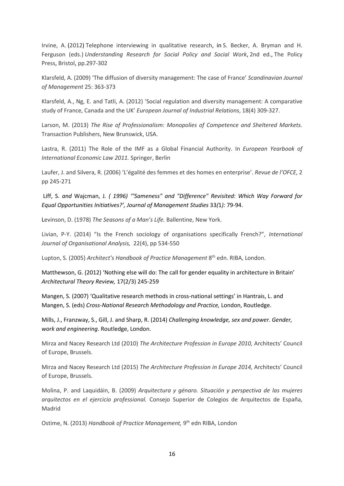Irvine, A. (2012) Telephone interviewing in qualitative research, in S. Becker, A. Bryman and H. Ferguson (eds.) *Understanding Research for Social Policy and Social Work*, 2nd ed., The Policy Press, Bristol, pp.297-302

Klarsfeld, A. (2009) 'The diffusion of diversity management: The case of France' *Scandinavian Journal of Management* 25: 363-373

Klarsfeld, A., Ng, E. and Tatli, A. (2012) 'Social regulation and diversity management: A comparative study of France, Canada and the UK' *European Journal of Industrial Relations*, 18(4) 309-327.

Larson, M. (2013) *The Rise of Professionalism: Monopolies of Competence and Sheltered Markets.* Transaction Publishers, New Brunswick, USA.

Lastra, R. (2011) The Role of the IMF as a Global Financial Authority. In *European Yearbook of International Economic Law 2011.* Springer, Berlin

Laufer, J. and Silvera, R. (2006) 'L'égalité des femmes et des homes en enterprise'. *Revue de l'OFCE,* 2 pp 245-271

Liff, S. *and* Wajcman, J*. ( 1996) '"Sameness" and "Difference" Revisited: Which Way Forward for Equal Opportunities Initiatives?', Journal of Management Studies* 33*(*1*):* 79*-*94.

Levinson, D. (1978) *The Seasons of a Man's Life.* Ballentine, New York.

Livian, P-Y. (2014) "Is the French sociology of organisations specifically French?", *International Journal of Organisational Analysis,* 22(4), pp 534-550

Lupton, S. (2005) *Architect's Handbook of Practice Management* 8 th edn. RIBA, London.

Matthewson, G. (2012) 'Nothing else will do: The call for gender equality in architecture in Britain' *Architectural Theory Review,* 17(2/3) 245-259

Mangen, S. (2007) 'Qualitative research methods in cross-national settings' in Hantrais, L. and Mangen, S. (eds) *Cross-National Research Methodology and Practice,* London, Routledge.

Mills, J., Franzway, S., Gill, J. and Sharp, R. (2014) *Challenging knowledge, sex and power. Gender, work and engineering*. Routledge, London.

Mirza and Nacey Research Ltd (2010) *The Architecture Profession in Europe 2010,* Architects' Council of Europe, Brussels.

Mirza and Nacey Research Ltd (2015) *The Architecture Profession in Europe 2014,* Architects' Council of Europe, Brussels.

Molina, P. and Laquidáin, B. (2009) *Arquitectura y génaro. Situación y perspectiva de las mujeres arquitectos en el ejercicio professional.* Consejo Superior de Colegios de Arquitectos de España, Madrid

Ostime, N. (2013) *Handbook of Practice Management,* 9 th edn RIBA, London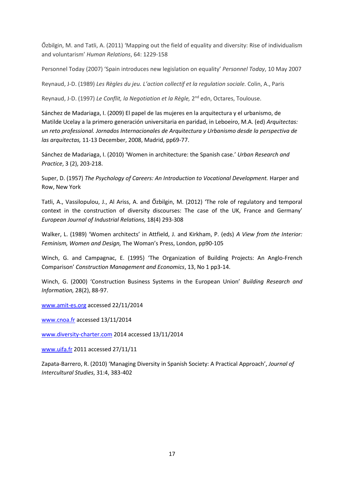Őzbilgin, M. and Tatli, A. (2011) 'Mapping out the field of equality and diversity: Rise of individualism and voluntarism' *Human Relations*, 64: 1229-158

Personnel Today (2007) 'Spain introduces new legislation on equality' *Personnel Today*, 10 May 2007

Reynaud, J-D. (1989) *Les Règles du jeu. L'action collectif et la regulation sociale.* Colin, A., Paris

Reynaud, J-D. (1997) Le Conflit, la Negotiation et la Règle, 2<sup>nd</sup> edn, Octares, Toulouse.

Sánchez de Madariaga, I. (2009) El papel de las mujeres en la arquitectura y el urbanismo, de Matilde Ucelay a la primero generación universitaria en paridad, in Leboeiro, M.A. (ed) *Arquitectas: un reto professional. Jornados Internacionales de Arquitectura y Urbanismo desde la perspectiva de las arquitectas,* 11-13 December, 2008, Madrid, pp69-77.

Sánchez de Madariaga, I. (2010) 'Women in architecture: the Spanish case.' *Urban Research and Practice*, 3 (2), 203-218.

Super, D. (1957) *The Psychology of Careers: An Introduction to Vocational Development.* Harper and Row, New York

Tatli, A., Vassilopulou, J., Al Ariss, A. and Őzbilgin, M. (2012) 'The role of regulatory and temporal context in the construction of diversity discourses: The case of the UK, France and Germany' *European Journal of Industrial Relations,* 18(4) 293-308

Walker, L. (1989) 'Women architects' in Attfield, J. and Kirkham, P. (eds) *A View from the Interior: Feminism, Women and Design,* The Woman's Press, London, pp90-105

Winch, G. and Campagnac, E. (1995) 'The Organization of Building Projects: An Anglo-French Comparison' *Construction Management and Economics*, 13, No 1 pp3-14.

Winch, G. (2000) 'Construction Business Systems in the European Union' *Building Research and Information,* 28(2), 88-97.

[www.amit-es.org](http://www.amit-es.org/) accessed 22/11/2014

[www.cnoa.fr](http://www.cnoa.fr/) accessed 13/11/2014

[www.diversity-charter.com](http://www.diversity-charter.com/) 2014 accessed 13/11/2014

[www.uifa.fr](http://www.uifa.fr/) 2011 accessed 27/11/11

Zapata-Barrero, R. (2010) 'Managing Diversity in Spanish Society: A Practical Approach', *Journal of Intercultural Studies*, 31:4, 383-402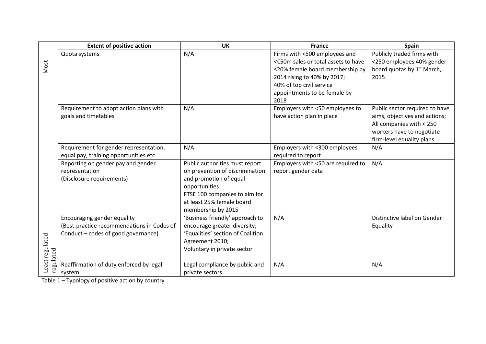|                              | <b>Extent of positive action</b>           | <b>UK</b>                         | <b>France</b>                         | <b>Spain</b>                           |
|------------------------------|--------------------------------------------|-----------------------------------|---------------------------------------|----------------------------------------|
|                              | Quota systems                              | N/A                               | Firms with <500 employees and         | Publicly traded firms with             |
|                              |                                            |                                   | <€50m sales or total assets to have   | <250 employees 40% gender              |
| Most                         |                                            |                                   | $\leq$ 20% female board membership by | board quotas by 1 <sup>st</sup> March, |
|                              |                                            |                                   | 2014 rising to 40% by 2017;           | 2015                                   |
|                              |                                            |                                   | 40% of top civil service              |                                        |
|                              |                                            |                                   | appointments to be female by          |                                        |
|                              |                                            |                                   | 2018                                  |                                        |
|                              | Requirement to adopt action plans with     | N/A                               | Employers with <50 employees to       | Public sector required to have         |
|                              | goals and timetables                       |                                   | have action plan in place             | aims, objectives and actions;          |
|                              |                                            |                                   |                                       | All companies with < 250               |
|                              |                                            |                                   |                                       | workers have to negotiate              |
|                              |                                            |                                   |                                       | firm-level equality plans.             |
|                              | Requirement for gender representation,     | N/A                               | Employers with <300 employees         | N/A                                    |
|                              | equal pay, training opportunities etc      |                                   | required to report                    |                                        |
|                              | Reporting on gender pay and gender         | Public authorities must report    | Employers with <50 are required to    | N/A                                    |
|                              | representation                             | on prevention of discrimination   | report gender data                    |                                        |
|                              | (Disclosure requirements)                  | and promotion of equal            |                                       |                                        |
|                              |                                            | opportunities.                    |                                       |                                        |
|                              |                                            | FTSE 100 companies to aim for     |                                       |                                        |
|                              |                                            | at least 25% female board         |                                       |                                        |
|                              |                                            | membership by 2015                |                                       |                                        |
|                              | Encouraging gender equality                | 'Business friendly' approach to   | N/A                                   | Distinctive label on Gender            |
|                              | (Best-practice recommendations in Codes of | encourage greater diversity;      |                                       | Equality                               |
|                              | Conduct - codes of good governance)        | 'Equalities' section of Coalition |                                       |                                        |
|                              |                                            | Agreement 2010;                   |                                       |                                        |
|                              |                                            | Voluntary in private sector       |                                       |                                        |
| Least regulated<br>regulated |                                            |                                   |                                       |                                        |
|                              | Reaffirmation of duty enforced by legal    | Legal compliance by public and    | N/A                                   | N/A                                    |
|                              | system                                     | private sectors                   |                                       |                                        |

Table 1 – Typology of positive action by country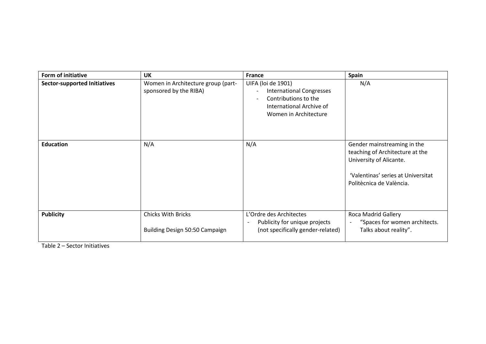| Form of initiative                  | UK                                                           | <b>France</b>                                                                                                                      | <b>Spain</b>                                                                                                                                                |
|-------------------------------------|--------------------------------------------------------------|------------------------------------------------------------------------------------------------------------------------------------|-------------------------------------------------------------------------------------------------------------------------------------------------------------|
| <b>Sector-supported Initiatives</b> | Women in Architecture group (part-<br>sponsored by the RIBA) | UIFA (loi de 1901)<br><b>International Congresses</b><br>Contributions to the<br>International Archive of<br>Women in Architecture | N/A                                                                                                                                                         |
| <b>Education</b>                    | N/A                                                          | N/A                                                                                                                                | Gender mainstreaming in the<br>teaching of Architecture at the<br>University of Alicante.<br>'Valentinas' series at Universitat<br>Politècnica de València. |
| <b>Publicity</b>                    | <b>Chicks With Bricks</b><br>Building Design 50:50 Campaign  | L'Ordre des Architectes<br>Publicity for unique projects<br>$\overline{\phantom{a}}$<br>(not specifically gender-related)          | Roca Madrid Gallery<br>"Spaces for women architects.<br>Talks about reality".                                                                               |

Table 2 – Sector Initiatives